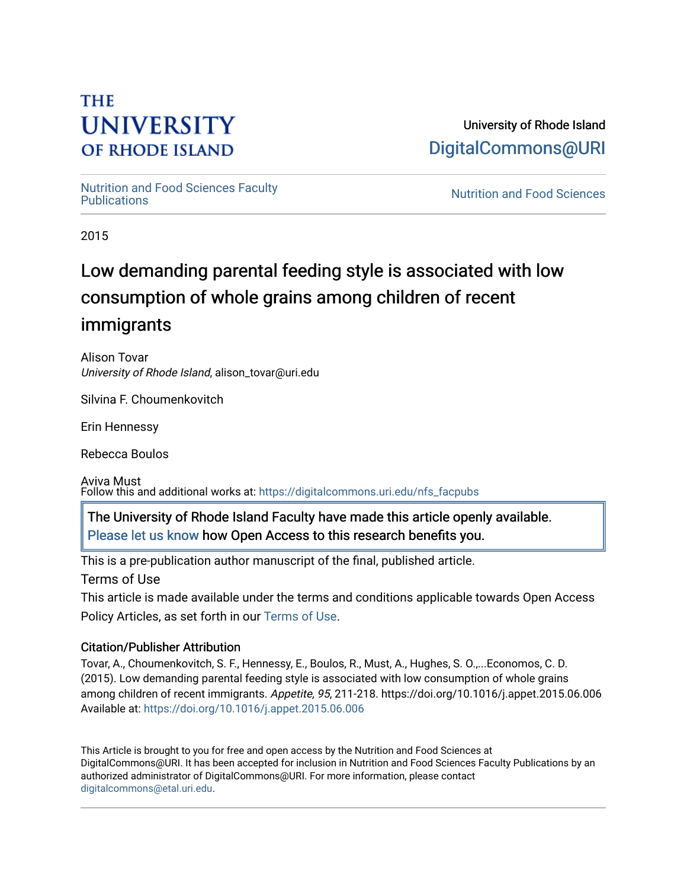## **THE UNIVERSITY OF RHODE ISLAND**

University of Rhode Island [DigitalCommons@URI](https://digitalcommons.uri.edu/) 

[Nutrition and Food Sciences Faculty](https://digitalcommons.uri.edu/nfs_facpubs) 

**Nutrition and Food Sciences** 

2015

# Low demanding parental feeding style is associated with low consumption of whole grains among children of recent immigrants

Alison Tovar University of Rhode Island, alison\_tovar@uri.edu

Silvina F. Choumenkovitch

Erin Hennessy

Rebecca Boulos

Aviva Must Follow this and additional works at: [https://digitalcommons.uri.edu/nfs\\_facpubs](https://digitalcommons.uri.edu/nfs_facpubs?utm_source=digitalcommons.uri.edu%2Fnfs_facpubs%2F216&utm_medium=PDF&utm_campaign=PDFCoverPages)

|<br>| [Please let us know](http://web.uri.edu/library-digital-initiatives/open-access-online-form/) how Open Access to this research benefits you. The University of Rhode Island Faculty have made this article openly available.

This is a pre-publication author manuscript of the final, published article.

Terms of Use

This article is made available under the terms and conditions applicable towards Open Access Policy Articles, as set forth in our [Terms of Use](https://digitalcommons.uri.edu/nfs_facpubs/oa_policy_terms.html).

## Citation/Publisher Attribution

Tovar, A., Choumenkovitch, S. F., Hennessy, E., Boulos, R., Must, A., Hughes, S. O.,...Economos, C. D. (2015). Low demanding parental feeding style is associated with low consumption of whole grains among children of recent immigrants. Appetite, 95, 211-218. https://doi.org/10.1016/j.appet.2015.06.006 Available at:<https://doi.org/10.1016/j.appet.2015.06.006>

This Article is brought to you for free and open access by the Nutrition and Food Sciences at DigitalCommons@URI. It has been accepted for inclusion in Nutrition and Food Sciences Faculty Publications by an authorized administrator of DigitalCommons@URI. For more information, please contact [digitalcommons@etal.uri.edu](mailto:digitalcommons@etal.uri.edu).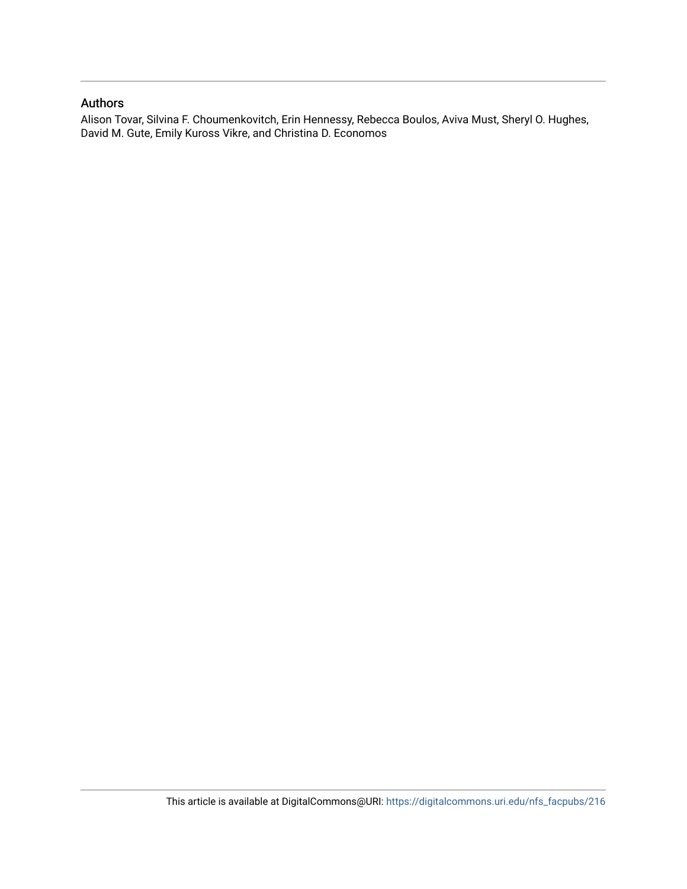## Authors

Alison Tovar, Silvina F. Choumenkovitch, Erin Hennessy, Rebecca Boulos, Aviva Must, Sheryl O. Hughes, David M. Gute, Emily Kuross Vikre, and Christina D. Economos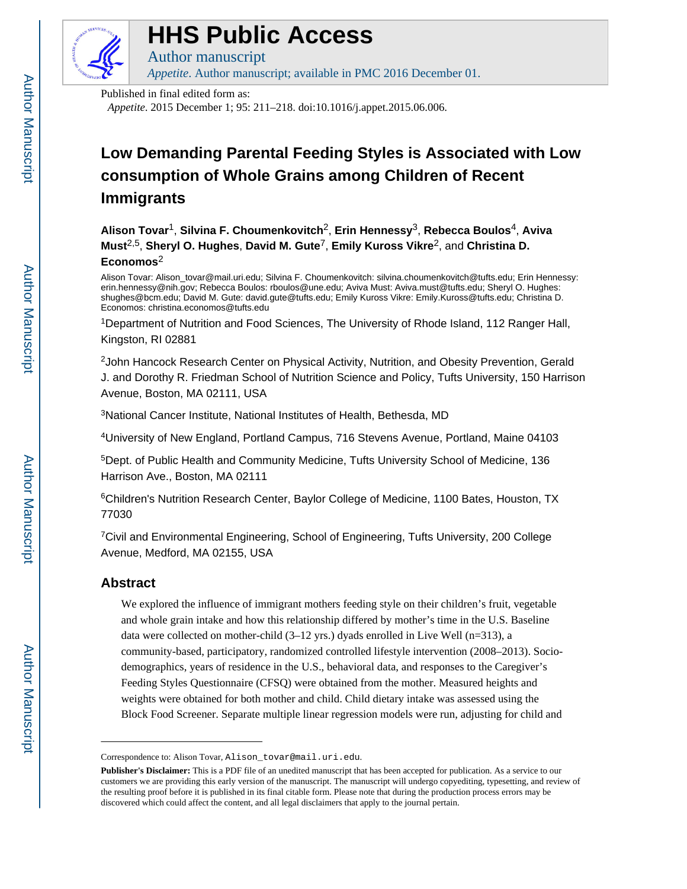

# **HHS Public Access**

Author manuscript

*Appetite*. Author manuscript; available in PMC 2016 December 01.

Published in final edited form as:

*Appetite*. 2015 December 1; 95: 211–218. doi:10.1016/j.appet.2015.06.006.

## **Low Demanding Parental Feeding Styles is Associated with Low consumption of Whole Grains among Children of Recent Immigrants**

**Alison Tovar**1, **Silvina F. Choumenkovitch**2, **Erin Hennessy**3, **Rebecca Boulos**4, **Aviva Must**2,5, **Sheryl O. Hughes**, **David M. Gute**7, **Emily Kuross Vikre**2, and **Christina D.** 

## **Economos**<sup>2</sup>

Alison Tovar: Alison\_tovar@mail.uri.edu; Silvina F. Choumenkovitch: silvina.choumenkovitch@tufts.edu; Erin Hennessy: erin.hennessy@nih.gov; Rebecca Boulos: rboulos@une.edu; Aviva Must: Aviva.must@tufts.edu; Sheryl O. Hughes: shughes@bcm.edu; David M. Gute: david.gute@tufts.edu; Emily Kuross Vikre: Emily.Kuross@tufts.edu; Christina D. Economos: christina.economos@tufts.edu

<sup>1</sup>Department of Nutrition and Food Sciences, The University of Rhode Island, 112 Ranger Hall, Kingston, RI 02881

<sup>2</sup>John Hancock Research Center on Physical Activity, Nutrition, and Obesity Prevention, Gerald J. and Dorothy R. Friedman School of Nutrition Science and Policy, Tufts University, 150 Harrison Avenue, Boston, MA 02111, USA

<sup>3</sup>National Cancer Institute, National Institutes of Health, Bethesda, MD

<sup>4</sup>University of New England, Portland Campus, 716 Stevens Avenue, Portland, Maine 04103

<sup>5</sup>Dept. of Public Health and Community Medicine, Tufts University School of Medicine, 136 Harrison Ave., Boston, MA 02111

<sup>6</sup>Children's Nutrition Research Center, Baylor College of Medicine, 1100 Bates, Houston, TX 77030

<sup>7</sup>Civil and Environmental Engineering, School of Engineering, Tufts University, 200 College Avenue, Medford, MA 02155, USA

## **Abstract**

We explored the influence of immigrant mothers feeding style on their children's fruit, vegetable and whole grain intake and how this relationship differed by mother's time in the U.S. Baseline data were collected on mother-child (3–12 yrs.) dyads enrolled in Live Well (n=313), a community-based, participatory, randomized controlled lifestyle intervention (2008–2013). Sociodemographics, years of residence in the U.S., behavioral data, and responses to the Caregiver's Feeding Styles Questionnaire (CFSQ) were obtained from the mother. Measured heights and weights were obtained for both mother and child. Child dietary intake was assessed using the Block Food Screener. Separate multiple linear regression models were run, adjusting for child and

Correspondence to: Alison Tovar, Alison\_tovar@mail.uri.edu.

**Publisher's Disclaimer:** This is a PDF file of an unedited manuscript that has been accepted for publication. As a service to our customers we are providing this early version of the manuscript. The manuscript will undergo copyediting, typesetting, and review of the resulting proof before it is published in its final citable form. Please note that during the production process errors may be discovered which could affect the content, and all legal disclaimers that apply to the journal pertain.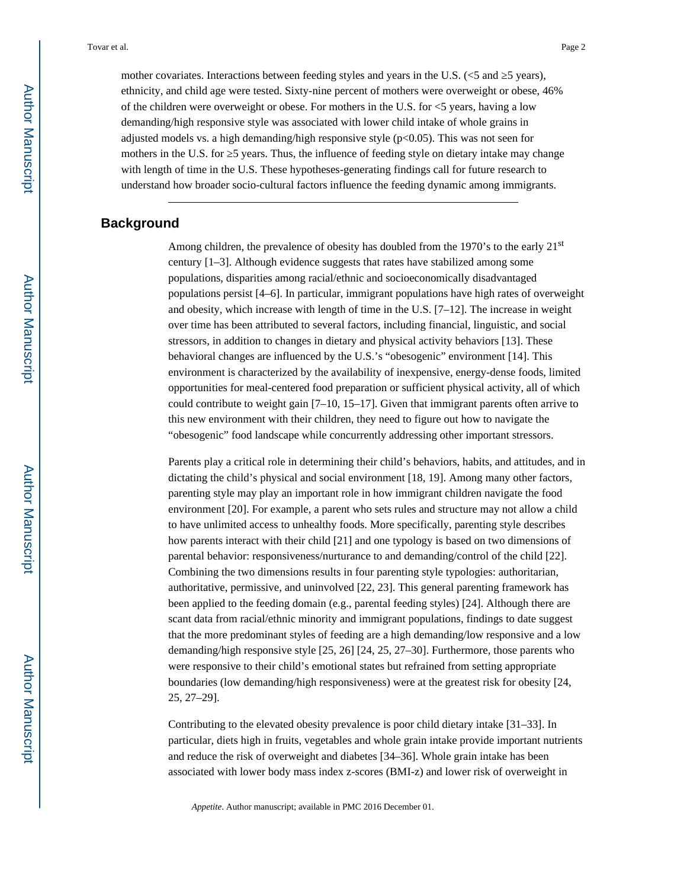mother covariates. Interactions between feeding styles and years in the U.S. ( $\leq$  and  $\leq$  years), ethnicity, and child age were tested. Sixty-nine percent of mothers were overweight or obese, 46% of the children were overweight or obese. For mothers in the U.S. for  $\leq$  years, having a low demanding/high responsive style was associated with lower child intake of whole grains in adjusted models vs. a high demanding/high responsive style  $(p<0.05)$ . This was not seen for mothers in the U.S. for 5 years. Thus, the influence of feeding style on dietary intake may change with length of time in the U.S. These hypotheses-generating findings call for future research to understand how broader socio-cultural factors influence the feeding dynamic among immigrants.

## **Background**

Among children, the prevalence of obesity has doubled from the 1970's to the early 21st century [1–3]. Although evidence suggests that rates have stabilized among some populations, disparities among racial/ethnic and socioeconomically disadvantaged populations persist [4–6]. In particular, immigrant populations have high rates of overweight and obesity, which increase with length of time in the U.S. [7–12]. The increase in weight over time has been attributed to several factors, including financial, linguistic, and social stressors, in addition to changes in dietary and physical activity behaviors [13]. These behavioral changes are influenced by the U.S.'s "obesogenic" environment [14]. This environment is characterized by the availability of inexpensive, energy-dense foods, limited opportunities for meal-centered food preparation or sufficient physical activity, all of which could contribute to weight gain [7–10, 15–17]. Given that immigrant parents often arrive to this new environment with their children, they need to figure out how to navigate the "obesogenic" food landscape while concurrently addressing other important stressors.

Parents play a critical role in determining their child's behaviors, habits, and attitudes, and in dictating the child's physical and social environment [18, 19]. Among many other factors, parenting style may play an important role in how immigrant children navigate the food environment [20]. For example, a parent who sets rules and structure may not allow a child to have unlimited access to unhealthy foods. More specifically, parenting style describes how parents interact with their child [21] and one typology is based on two dimensions of parental behavior: responsiveness/nurturance to and demanding/control of the child [22]. Combining the two dimensions results in four parenting style typologies: authoritarian, authoritative, permissive, and uninvolved [22, 23]. This general parenting framework has been applied to the feeding domain (e.g., parental feeding styles) [24]. Although there are scant data from racial/ethnic minority and immigrant populations, findings to date suggest that the more predominant styles of feeding are a high demanding/low responsive and a low demanding/high responsive style [25, 26] [24, 25, 27–30]. Furthermore, those parents who were responsive to their child's emotional states but refrained from setting appropriate boundaries (low demanding/high responsiveness) were at the greatest risk for obesity [24, 25, 27–29].

Contributing to the elevated obesity prevalence is poor child dietary intake [31–33]. In particular, diets high in fruits, vegetables and whole grain intake provide important nutrients and reduce the risk of overweight and diabetes [34–36]. Whole grain intake has been associated with lower body mass index z-scores (BMI-z) and lower risk of overweight in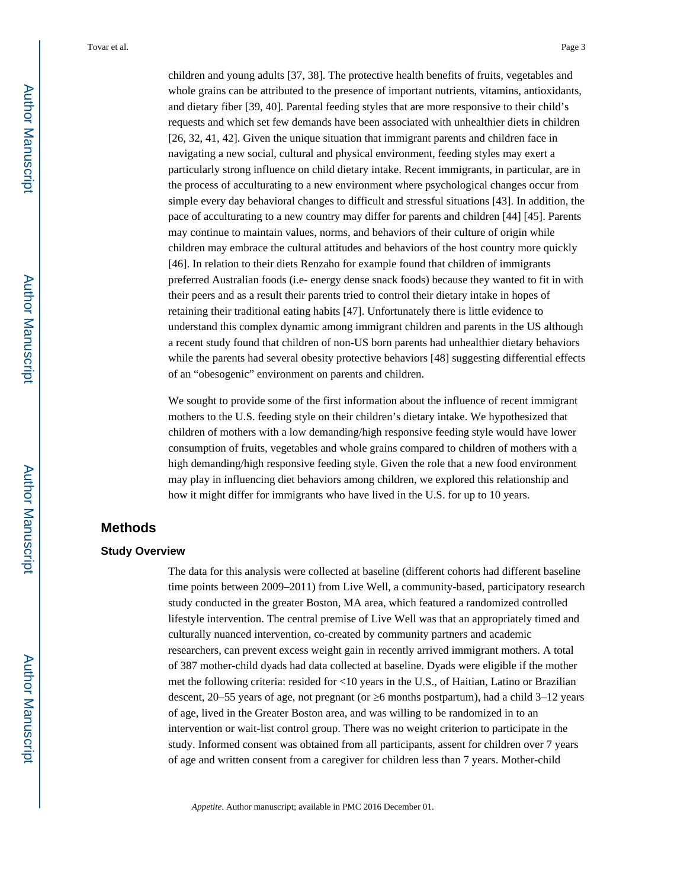children and young adults [37, 38]. The protective health benefits of fruits, vegetables and whole grains can be attributed to the presence of important nutrients, vitamins, antioxidants, and dietary fiber [39, 40]. Parental feeding styles that are more responsive to their child's requests and which set few demands have been associated with unhealthier diets in children [26, 32, 41, 42]. Given the unique situation that immigrant parents and children face in navigating a new social, cultural and physical environment, feeding styles may exert a particularly strong influence on child dietary intake. Recent immigrants, in particular, are in the process of acculturating to a new environment where psychological changes occur from simple every day behavioral changes to difficult and stressful situations [43]. In addition, the pace of acculturating to a new country may differ for parents and children [44] [45]. Parents may continue to maintain values, norms, and behaviors of their culture of origin while children may embrace the cultural attitudes and behaviors of the host country more quickly [46]. In relation to their diets Renzaho for example found that children of immigrants preferred Australian foods (i.e- energy dense snack foods) because they wanted to fit in with their peers and as a result their parents tried to control their dietary intake in hopes of retaining their traditional eating habits [47]. Unfortunately there is little evidence to understand this complex dynamic among immigrant children and parents in the US although a recent study found that children of non-US born parents had unhealthier dietary behaviors while the parents had several obesity protective behaviors [48] suggesting differential effects of an "obesogenic" environment on parents and children.

We sought to provide some of the first information about the influence of recent immigrant mothers to the U.S. feeding style on their children's dietary intake. We hypothesized that children of mothers with a low demanding/high responsive feeding style would have lower consumption of fruits, vegetables and whole grains compared to children of mothers with a high demanding/high responsive feeding style. Given the role that a new food environment may play in influencing diet behaviors among children, we explored this relationship and how it might differ for immigrants who have lived in the U.S. for up to 10 years.

#### **Methods**

#### **Study Overview**

The data for this analysis were collected at baseline (different cohorts had different baseline time points between 2009–2011) from Live Well, a community-based, participatory research study conducted in the greater Boston, MA area, which featured a randomized controlled lifestyle intervention. The central premise of Live Well was that an appropriately timed and culturally nuanced intervention, co-created by community partners and academic researchers, can prevent excess weight gain in recently arrived immigrant mothers. A total of 387 mother-child dyads had data collected at baseline. Dyads were eligible if the mother met the following criteria: resided for <10 years in the U.S., of Haitian, Latino or Brazilian descent, 20–55 years of age, not pregnant (or ≥6 months postpartum), had a child 3–12 years of age, lived in the Greater Boston area, and was willing to be randomized in to an intervention or wait-list control group. There was no weight criterion to participate in the study. Informed consent was obtained from all participants, assent for children over 7 years of age and written consent from a caregiver for children less than 7 years. Mother-child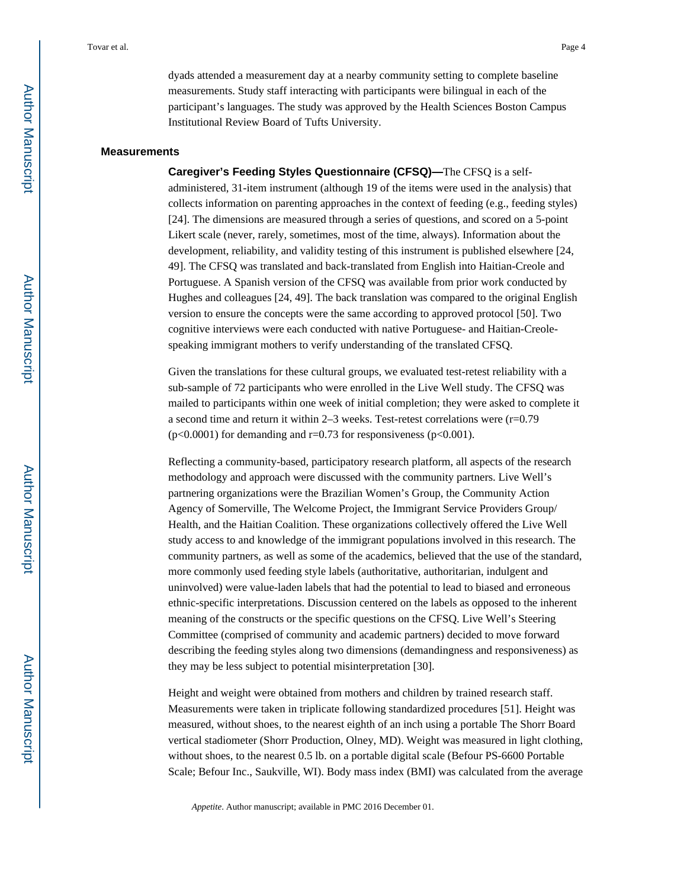dyads attended a measurement day at a nearby community setting to complete baseline measurements. Study staff interacting with participants were bilingual in each of the participant's languages. The study was approved by the Health Sciences Boston Campus Institutional Review Board of Tufts University.

#### **Measurements**

**Caregiver's Feeding Styles Questionnaire (CFSQ)—**The CFSQ is a selfadministered, 31-item instrument (although 19 of the items were used in the analysis) that collects information on parenting approaches in the context of feeding (e.g., feeding styles) [24]. The dimensions are measured through a series of questions, and scored on a 5-point Likert scale (never, rarely, sometimes, most of the time, always). Information about the development, reliability, and validity testing of this instrument is published elsewhere [24, 49]. The CFSQ was translated and back-translated from English into Haitian-Creole and Portuguese. A Spanish version of the CFSQ was available from prior work conducted by Hughes and colleagues [24, 49]. The back translation was compared to the original English version to ensure the concepts were the same according to approved protocol [50]. Two cognitive interviews were each conducted with native Portuguese- and Haitian-Creolespeaking immigrant mothers to verify understanding of the translated CFSQ.

Given the translations for these cultural groups, we evaluated test-retest reliability with a sub-sample of 72 participants who were enrolled in the Live Well study. The CFSQ was mailed to participants within one week of initial completion; they were asked to complete it a second time and return it within 2–3 weeks. Test-retest correlations were (r=0.79  $(p<0.0001)$  for demanding and r=0.73 for responsiveness (p<0.001).

Reflecting a community-based, participatory research platform, all aspects of the research methodology and approach were discussed with the community partners. Live Well's partnering organizations were the Brazilian Women's Group, the Community Action Agency of Somerville, The Welcome Project, the Immigrant Service Providers Group/ Health, and the Haitian Coalition. These organizations collectively offered the Live Well study access to and knowledge of the immigrant populations involved in this research. The community partners, as well as some of the academics, believed that the use of the standard, more commonly used feeding style labels (authoritative, authoritarian, indulgent and uninvolved) were value-laden labels that had the potential to lead to biased and erroneous ethnic-specific interpretations. Discussion centered on the labels as opposed to the inherent meaning of the constructs or the specific questions on the CFSQ. Live Well's Steering Committee (comprised of community and academic partners) decided to move forward describing the feeding styles along two dimensions (demandingness and responsiveness) as they may be less subject to potential misinterpretation [30].

Height and weight were obtained from mothers and children by trained research staff. Measurements were taken in triplicate following standardized procedures [51]. Height was measured, without shoes, to the nearest eighth of an inch using a portable The Shorr Board vertical stadiometer (Shorr Production, Olney, MD). Weight was measured in light clothing, without shoes, to the nearest 0.5 lb. on a portable digital scale (Befour PS-6600 Portable Scale; Befour Inc., Saukville, WI). Body mass index (BMI) was calculated from the average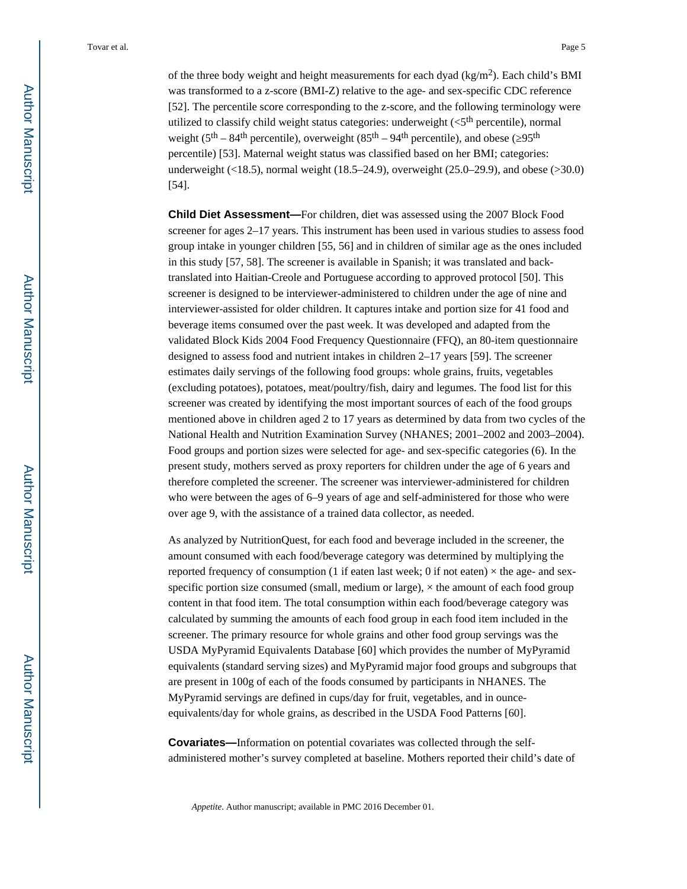of the three body weight and height measurements for each dyad  $(kg/m<sup>2</sup>)$ . Each child's BMI was transformed to a z-score (BMI-Z) relative to the age- and sex-specific CDC reference [52]. The percentile score corresponding to the z-score, and the following terminology were utilized to classify child weight status categories: underweight  $( $5<sup>th</sup>$  percentile)$ , normal weight ( $5<sup>th</sup> - 84<sup>th</sup>$  percentile), overweight ( $85<sup>th</sup> - 94<sup>th</sup>$  percentile), and obese ( $95<sup>th</sup>$ percentile) [53]. Maternal weight status was classified based on her BMI; categories: underweight  $($ <18.5), normal weight (18.5–24.9), overweight (25.0–29.9), and obese  $($ >30.0) [54].

**Child Diet Assessment—**For children, diet was assessed using the 2007 Block Food screener for ages 2–17 years. This instrument has been used in various studies to assess food group intake in younger children [55, 56] and in children of similar age as the ones included in this study [57, 58]. The screener is available in Spanish; it was translated and backtranslated into Haitian-Creole and Portuguese according to approved protocol [50]. This screener is designed to be interviewer-administered to children under the age of nine and interviewer-assisted for older children. It captures intake and portion size for 41 food and beverage items consumed over the past week. It was developed and adapted from the validated Block Kids 2004 Food Frequency Questionnaire (FFQ), an 80-item questionnaire designed to assess food and nutrient intakes in children 2–17 years [59]. The screener estimates daily servings of the following food groups: whole grains, fruits, vegetables (excluding potatoes), potatoes, meat/poultry/fish, dairy and legumes. The food list for this screener was created by identifying the most important sources of each of the food groups mentioned above in children aged 2 to 17 years as determined by data from two cycles of the National Health and Nutrition Examination Survey (NHANES; 2001–2002 and 2003–2004). Food groups and portion sizes were selected for age- and sex-specific categories (6). In the present study, mothers served as proxy reporters for children under the age of 6 years and therefore completed the screener. The screener was interviewer-administered for children who were between the ages of 6–9 years of age and self-administered for those who were over age 9, with the assistance of a trained data collector, as needed.

As analyzed by NutritionQuest, for each food and beverage included in the screener, the amount consumed with each food/beverage category was determined by multiplying the reported frequency of consumption (1 if eaten last week; 0 if not eaten)  $\times$  the age- and sexspecific portion size consumed (small, medium or large),  $\times$  the amount of each food group content in that food item. The total consumption within each food/beverage category was calculated by summing the amounts of each food group in each food item included in the screener. The primary resource for whole grains and other food group servings was the USDA MyPyramid Equivalents Database [60] which provides the number of MyPyramid equivalents (standard serving sizes) and MyPyramid major food groups and subgroups that are present in 100g of each of the foods consumed by participants in NHANES. The MyPyramid servings are defined in cups/day for fruit, vegetables, and in ounceequivalents/day for whole grains, as described in the USDA Food Patterns [60].

**Covariates—**Information on potential covariates was collected through the selfadministered mother's survey completed at baseline. Mothers reported their child's date of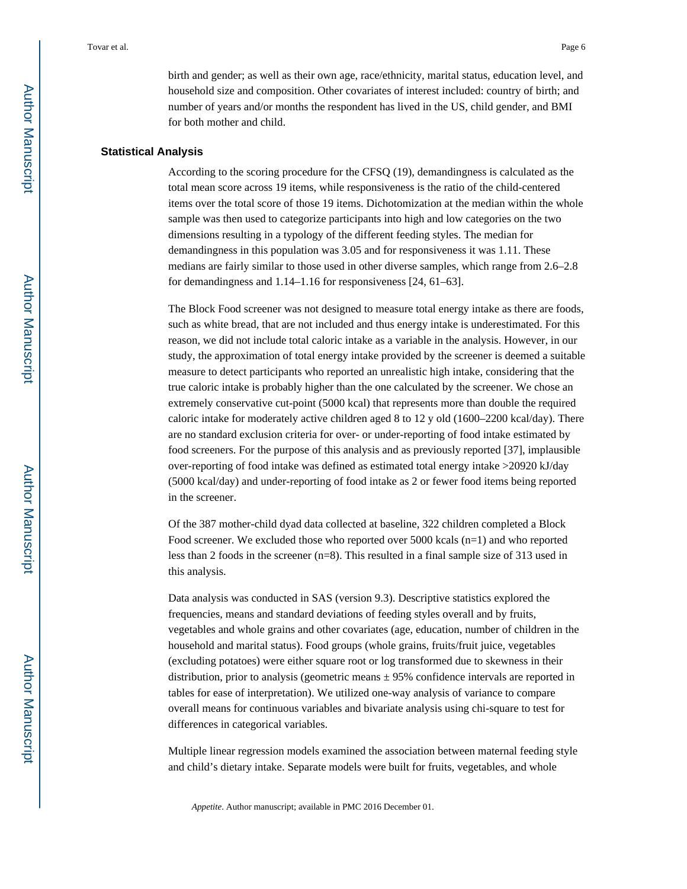birth and gender; as well as their own age, race/ethnicity, marital status, education level, and household size and composition. Other covariates of interest included: country of birth; and number of years and/or months the respondent has lived in the US, child gender, and BMI for both mother and child.

#### **Statistical Analysis**

According to the scoring procedure for the CFSQ (19), demandingness is calculated as the total mean score across 19 items, while responsiveness is the ratio of the child-centered items over the total score of those 19 items. Dichotomization at the median within the whole sample was then used to categorize participants into high and low categories on the two dimensions resulting in a typology of the different feeding styles. The median for demandingness in this population was 3.05 and for responsiveness it was 1.11. These medians are fairly similar to those used in other diverse samples, which range from 2.6–2.8 for demandingness and 1.14–1.16 for responsiveness [24, 61–63].

The Block Food screener was not designed to measure total energy intake as there are foods, such as white bread, that are not included and thus energy intake is underestimated. For this reason, we did not include total caloric intake as a variable in the analysis. However, in our study, the approximation of total energy intake provided by the screener is deemed a suitable measure to detect participants who reported an unrealistic high intake, considering that the true caloric intake is probably higher than the one calculated by the screener. We chose an extremely conservative cut-point (5000 kcal) that represents more than double the required caloric intake for moderately active children aged 8 to 12 y old (1600–2200 kcal/day). There are no standard exclusion criteria for over- or under-reporting of food intake estimated by food screeners. For the purpose of this analysis and as previously reported [37], implausible over-reporting of food intake was defined as estimated total energy intake >20920 kJ/day (5000 kcal/day) and under-reporting of food intake as 2 or fewer food items being reported in the screener.

Of the 387 mother-child dyad data collected at baseline, 322 children completed a Block Food screener. We excluded those who reported over 5000 kcals (n=1) and who reported less than 2 foods in the screener (n=8). This resulted in a final sample size of 313 used in this analysis.

Data analysis was conducted in SAS (version 9.3). Descriptive statistics explored the frequencies, means and standard deviations of feeding styles overall and by fruits, vegetables and whole grains and other covariates (age, education, number of children in the household and marital status). Food groups (whole grains, fruits/fruit juice, vegetables (excluding potatoes) were either square root or log transformed due to skewness in their distribution, prior to analysis (geometric means ± 95% confidence intervals are reported in tables for ease of interpretation). We utilized one-way analysis of variance to compare overall means for continuous variables and bivariate analysis using chi-square to test for differences in categorical variables.

Multiple linear regression models examined the association between maternal feeding style and child's dietary intake. Separate models were built for fruits, vegetables, and whole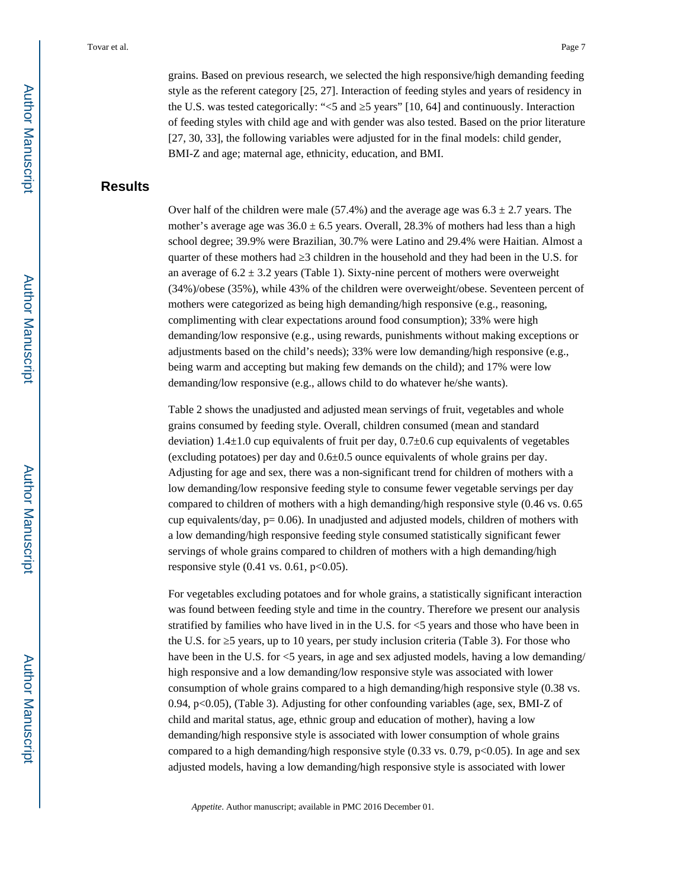grains. Based on previous research, we selected the high responsive/high demanding feeding style as the referent category [25, 27]. Interaction of feeding styles and years of residency in the U.S. was tested categorically: " $\le$ 5 and 25 years" [10, 64] and continuously. Interaction of feeding styles with child age and with gender was also tested. Based on the prior literature [27, 30, 33], the following variables were adjusted for in the final models: child gender, BMI-Z and age; maternal age, ethnicity, education, and BMI.

## **Results**

Over half of the children were male (57.4%) and the average age was  $6.3 \pm 2.7$  years. The mother's average age was  $36.0 \pm 6.5$  years. Overall, 28.3% of mothers had less than a high school degree; 39.9% were Brazilian, 30.7% were Latino and 29.4% were Haitian. Almost a quarter of these mothers had ≥3 children in the household and they had been in the U.S. for an average of  $6.2 \pm 3.2$  years (Table 1). Sixty-nine percent of mothers were overweight (34%)/obese (35%), while 43% of the children were overweight/obese. Seventeen percent of mothers were categorized as being high demanding/high responsive (e.g., reasoning, complimenting with clear expectations around food consumption); 33% were high demanding/low responsive (e.g., using rewards, punishments without making exceptions or adjustments based on the child's needs); 33% were low demanding/high responsive (e.g., being warm and accepting but making few demands on the child); and 17% were low demanding/low responsive (e.g., allows child to do whatever he/she wants).

Table 2 shows the unadjusted and adjusted mean servings of fruit, vegetables and whole grains consumed by feeding style. Overall, children consumed (mean and standard deviation)  $1.4\pm1.0$  cup equivalents of fruit per day,  $0.7\pm0.6$  cup equivalents of vegetables (excluding potatoes) per day and 0.6±0.5 ounce equivalents of whole grains per day. Adjusting for age and sex, there was a non-significant trend for children of mothers with a low demanding/low responsive feeding style to consume fewer vegetable servings per day compared to children of mothers with a high demanding/high responsive style (0.46 vs. 0.65 cup equivalents/day,  $p= 0.06$ ). In unadjusted and adjusted models, children of mothers with a low demanding/high responsive feeding style consumed statistically significant fewer servings of whole grains compared to children of mothers with a high demanding/high responsive style  $(0.41 \text{ vs. } 0.61, \text{ p} < 0.05)$ .

For vegetables excluding potatoes and for whole grains, a statistically significant interaction was found between feeding style and time in the country. Therefore we present our analysis stratified by families who have lived in in the U.S. for <5 years and those who have been in the U.S. for 5 years, up to 10 years, per study inclusion criteria (Table 3). For those who have been in the U.S. for  $\lt$ 5 years, in age and sex adjusted models, having a low demanding/ high responsive and a low demanding/low responsive style was associated with lower consumption of whole grains compared to a high demanding/high responsive style (0.38 vs. 0.94, p<0.05), (Table 3). Adjusting for other confounding variables (age, sex, BMI-Z of child and marital status, age, ethnic group and education of mother), having a low demanding/high responsive style is associated with lower consumption of whole grains compared to a high demanding/high responsive style  $(0.33 \text{ vs. } 0.79, \text{ p} < 0.05)$ . In age and sex adjusted models, having a low demanding/high responsive style is associated with lower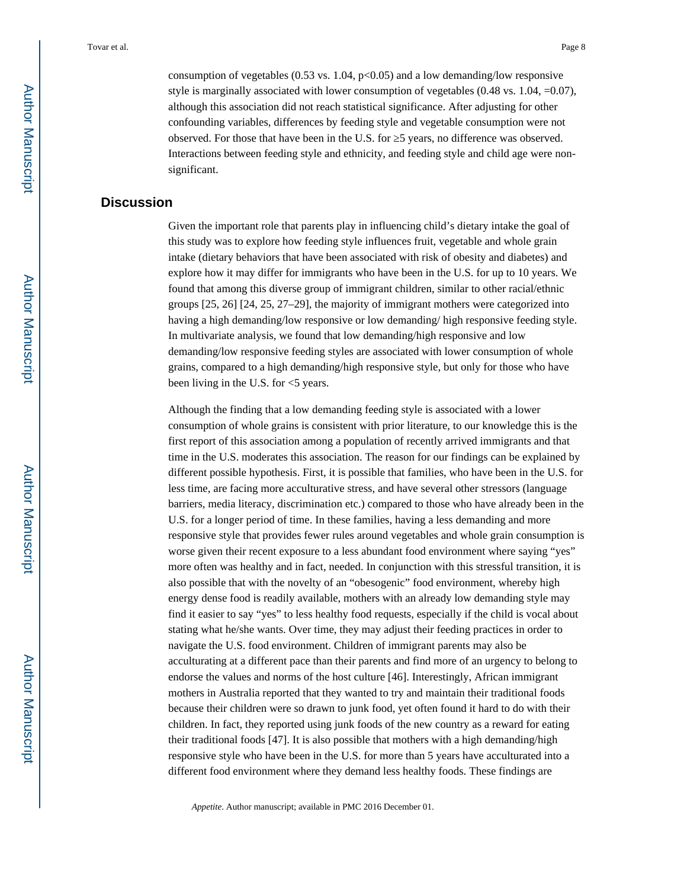consumption of vegetables (0.53 vs. 1.04,  $p<0.05$ ) and a low demanding/low responsive style is marginally associated with lower consumption of vegetables  $(0.48 \text{ vs. } 1.04, =0.07)$ , although this association did not reach statistical significance. After adjusting for other confounding variables, differences by feeding style and vegetable consumption were not observed. For those that have been in the U.S. for  $\bar{5}$  years, no difference was observed. Interactions between feeding style and ethnicity, and feeding style and child age were nonsignificant.

## **Discussion**

Given the important role that parents play in influencing child's dietary intake the goal of this study was to explore how feeding style influences fruit, vegetable and whole grain intake (dietary behaviors that have been associated with risk of obesity and diabetes) and explore how it may differ for immigrants who have been in the U.S. for up to 10 years. We found that among this diverse group of immigrant children, similar to other racial/ethnic groups [25, 26] [24, 25, 27–29], the majority of immigrant mothers were categorized into having a high demanding/low responsive or low demanding/ high responsive feeding style. In multivariate analysis, we found that low demanding/high responsive and low demanding/low responsive feeding styles are associated with lower consumption of whole grains, compared to a high demanding/high responsive style, but only for those who have been living in the U.S. for <5 years.

Although the finding that a low demanding feeding style is associated with a lower consumption of whole grains is consistent with prior literature, to our knowledge this is the first report of this association among a population of recently arrived immigrants and that time in the U.S. moderates this association. The reason for our findings can be explained by different possible hypothesis. First, it is possible that families, who have been in the U.S. for less time, are facing more acculturative stress, and have several other stressors (language barriers, media literacy, discrimination etc.) compared to those who have already been in the U.S. for a longer period of time. In these families, having a less demanding and more responsive style that provides fewer rules around vegetables and whole grain consumption is worse given their recent exposure to a less abundant food environment where saying "yes" more often was healthy and in fact, needed. In conjunction with this stressful transition, it is also possible that with the novelty of an "obesogenic" food environment, whereby high energy dense food is readily available, mothers with an already low demanding style may find it easier to say "yes" to less healthy food requests, especially if the child is vocal about stating what he/she wants. Over time, they may adjust their feeding practices in order to navigate the U.S. food environment. Children of immigrant parents may also be acculturating at a different pace than their parents and find more of an urgency to belong to endorse the values and norms of the host culture [46]. Interestingly, African immigrant mothers in Australia reported that they wanted to try and maintain their traditional foods because their children were so drawn to junk food, yet often found it hard to do with their children. In fact, they reported using junk foods of the new country as a reward for eating their traditional foods [47]. It is also possible that mothers with a high demanding/high responsive style who have been in the U.S. for more than 5 years have acculturated into a different food environment where they demand less healthy foods. These findings are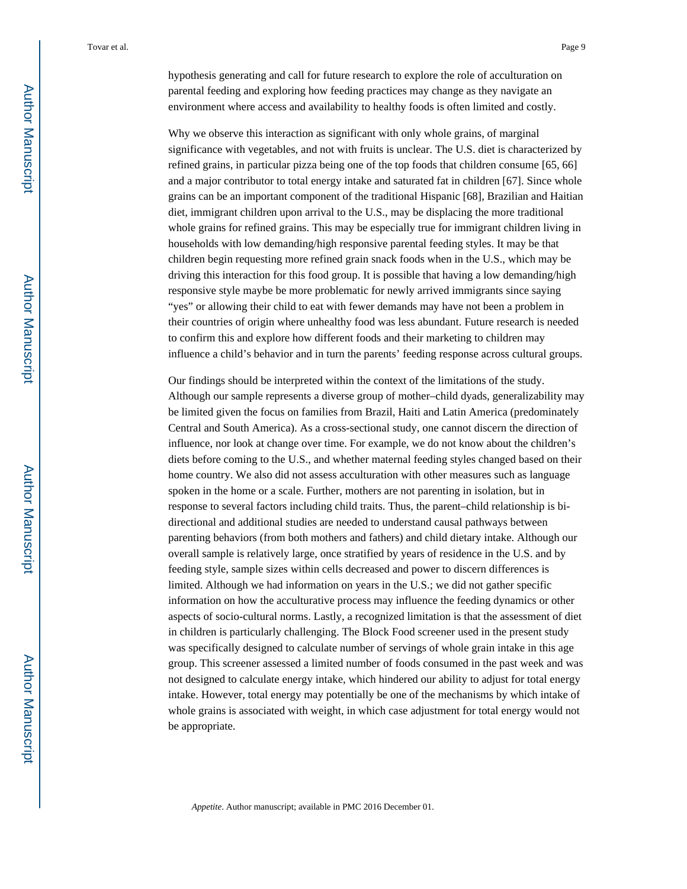hypothesis generating and call for future research to explore the role of acculturation on parental feeding and exploring how feeding practices may change as they navigate an environment where access and availability to healthy foods is often limited and costly.

Why we observe this interaction as significant with only whole grains, of marginal significance with vegetables, and not with fruits is unclear. The U.S. diet is characterized by refined grains, in particular pizza being one of the top foods that children consume [65, 66] and a major contributor to total energy intake and saturated fat in children [67]. Since whole grains can be an important component of the traditional Hispanic [68], Brazilian and Haitian diet, immigrant children upon arrival to the U.S., may be displacing the more traditional whole grains for refined grains. This may be especially true for immigrant children living in households with low demanding/high responsive parental feeding styles. It may be that children begin requesting more refined grain snack foods when in the U.S., which may be driving this interaction for this food group. It is possible that having a low demanding/high responsive style maybe be more problematic for newly arrived immigrants since saying "yes" or allowing their child to eat with fewer demands may have not been a problem in their countries of origin where unhealthy food was less abundant. Future research is needed to confirm this and explore how different foods and their marketing to children may influence a child's behavior and in turn the parents' feeding response across cultural groups.

Our findings should be interpreted within the context of the limitations of the study. Although our sample represents a diverse group of mother–child dyads, generalizability may be limited given the focus on families from Brazil, Haiti and Latin America (predominately Central and South America). As a cross-sectional study, one cannot discern the direction of influence, nor look at change over time. For example, we do not know about the children's diets before coming to the U.S., and whether maternal feeding styles changed based on their home country. We also did not assess acculturation with other measures such as language spoken in the home or a scale. Further, mothers are not parenting in isolation, but in response to several factors including child traits. Thus, the parent–child relationship is bidirectional and additional studies are needed to understand causal pathways between parenting behaviors (from both mothers and fathers) and child dietary intake. Although our overall sample is relatively large, once stratified by years of residence in the U.S. and by feeding style, sample sizes within cells decreased and power to discern differences is limited. Although we had information on years in the U.S.; we did not gather specific information on how the acculturative process may influence the feeding dynamics or other aspects of socio-cultural norms. Lastly, a recognized limitation is that the assessment of diet in children is particularly challenging. The Block Food screener used in the present study was specifically designed to calculate number of servings of whole grain intake in this age group. This screener assessed a limited number of foods consumed in the past week and was not designed to calculate energy intake, which hindered our ability to adjust for total energy intake. However, total energy may potentially be one of the mechanisms by which intake of whole grains is associated with weight, in which case adjustment for total energy would not be appropriate.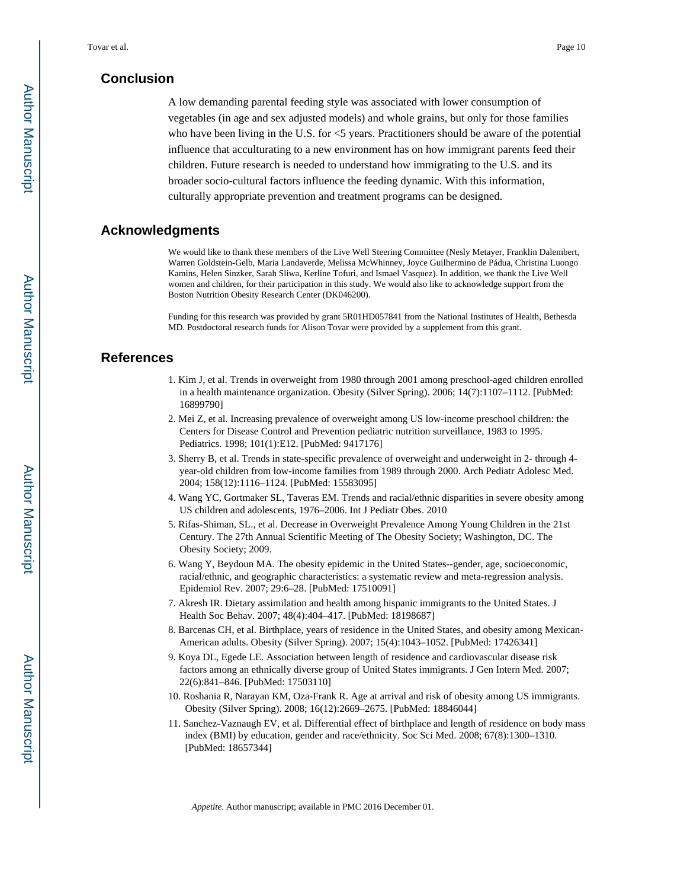## **Conclusion**

A low demanding parental feeding style was associated with lower consumption of vegetables (in age and sex adjusted models) and whole grains, but only for those families who have been living in the U.S. for  $\leq$  years. Practitioners should be aware of the potential influence that acculturating to a new environment has on how immigrant parents feed their children. Future research is needed to understand how immigrating to the U.S. and its broader socio-cultural factors influence the feeding dynamic. With this information, culturally appropriate prevention and treatment programs can be designed.

## **Acknowledgments**

We would like to thank these members of the Live Well Steering Committee (Nesly Metayer, Franklin Dalembert, Warren Goldstein-Gelb, Maria Landaverde, Melissa McWhinney, Joyce Guilhermino de Pádua, Christina Luongo Kamins, Helen Sinzker, Sarah Sliwa, Kerline Tofuri, and Ismael Vasquez). In addition, we thank the Live Well women and children, for their participation in this study. We would also like to acknowledge support from the Boston Nutrition Obesity Research Center (DK046200).

Funding for this research was provided by grant 5R01HD057841 from the National Institutes of Health, Bethesda MD. Postdoctoral research funds for Alison Tovar were provided by a supplement from this grant.

## **References**

- 1. Kim J, et al. Trends in overweight from 1980 through 2001 among preschool-aged children enrolled in a health maintenance organization. Obesity (Silver Spring). 2006; 14(7):1107–1112. [PubMed: 16899790]
- 2. Mei Z, et al. Increasing prevalence of overweight among US low-income preschool children: the Centers for Disease Control and Prevention pediatric nutrition surveillance, 1983 to 1995. Pediatrics. 1998; 101(1):E12. [PubMed: 9417176]
- 3. Sherry B, et al. Trends in state-specific prevalence of overweight and underweight in 2- through 4 year-old children from low-income families from 1989 through 2000. Arch Pediatr Adolesc Med. 2004; 158(12):1116–1124. [PubMed: 15583095]
- 4. Wang YC, Gortmaker SL, Taveras EM. Trends and racial/ethnic disparities in severe obesity among US children and adolescents, 1976–2006. Int J Pediatr Obes. 2010
- 5. Rifas-Shiman, SL., et al. Decrease in Overweight Prevalence Among Young Children in the 21st Century. The 27th Annual Scientific Meeting of The Obesity Society; Washington, DC. The Obesity Society; 2009.
- 6. Wang Y, Beydoun MA. The obesity epidemic in the United States--gender, age, socioeconomic, racial/ethnic, and geographic characteristics: a systematic review and meta-regression analysis. Epidemiol Rev. 2007; 29:6–28. [PubMed: 17510091]
- 7. Akresh IR. Dietary assimilation and health among hispanic immigrants to the United States. J Health Soc Behav. 2007; 48(4):404–417. [PubMed: 18198687]
- 8. Barcenas CH, et al. Birthplace, years of residence in the United States, and obesity among Mexican-American adults. Obesity (Silver Spring). 2007; 15(4):1043–1052. [PubMed: 17426341]
- 9. Koya DL, Egede LE. Association between length of residence and cardiovascular disease risk factors among an ethnically diverse group of United States immigrants. J Gen Intern Med. 2007; 22(6):841–846. [PubMed: 17503110]
- 10. Roshania R, Narayan KM, Oza-Frank R. Age at arrival and risk of obesity among US immigrants. Obesity (Silver Spring). 2008; 16(12):2669–2675. [PubMed: 18846044]
- 11. Sanchez-Vaznaugh EV, et al. Differential effect of birthplace and length of residence on body mass index (BMI) by education, gender and race/ethnicity. Soc Sci Med. 2008; 67(8):1300–1310. [PubMed: 18657344]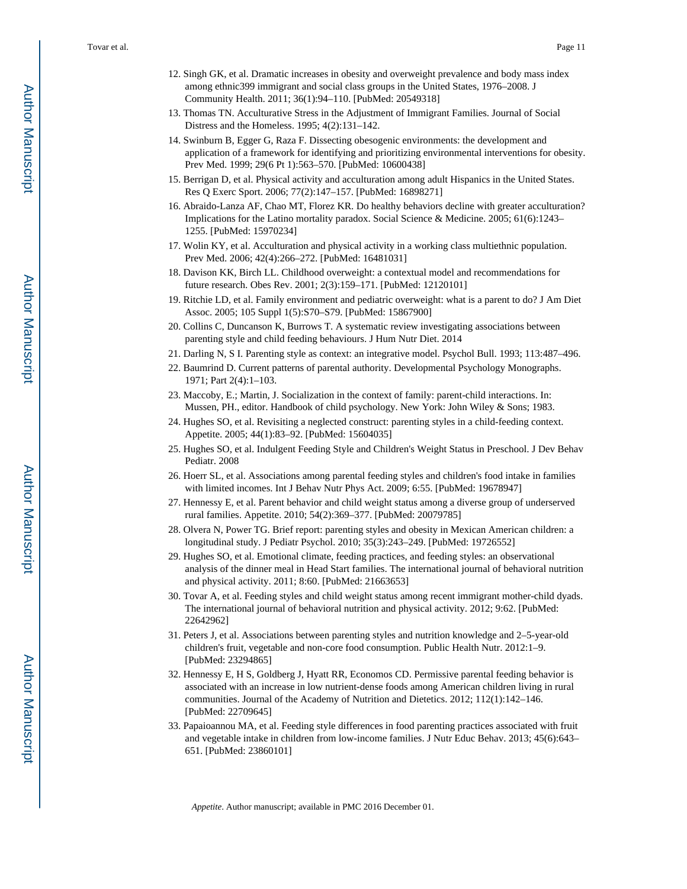- 12. Singh GK, et al. Dramatic increases in obesity and overweight prevalence and body mass index among ethnic399 immigrant and social class groups in the United States, 1976–2008. J Community Health. 2011; 36(1):94–110. [PubMed: 20549318]
- 13. Thomas TN. Acculturative Stress in the Adjustment of Immigrant Families. Journal of Social Distress and the Homeless. 1995; 4(2):131–142.
- 14. Swinburn B, Egger G, Raza F. Dissecting obesogenic environments: the development and application of a framework for identifying and prioritizing environmental interventions for obesity. Prev Med. 1999; 29(6 Pt 1):563–570. [PubMed: 10600438]
- 15. Berrigan D, et al. Physical activity and acculturation among adult Hispanics in the United States. Res Q Exerc Sport. 2006; 77(2):147–157. [PubMed: 16898271]
- 16. Abraido-Lanza AF, Chao MT, Florez KR. Do healthy behaviors decline with greater acculturation? Implications for the Latino mortality paradox. Social Science & Medicine. 2005; 61(6):1243– 1255. [PubMed: 15970234]
- 17. Wolin KY, et al. Acculturation and physical activity in a working class multiethnic population. Prev Med. 2006; 42(4):266–272. [PubMed: 16481031]
- 18. Davison KK, Birch LL. Childhood overweight: a contextual model and recommendations for future research. Obes Rev. 2001; 2(3):159–171. [PubMed: 12120101]
- 19. Ritchie LD, et al. Family environment and pediatric overweight: what is a parent to do? J Am Diet Assoc. 2005; 105 Suppl 1(5):S70–S79. [PubMed: 15867900]
- 20. Collins C, Duncanson K, Burrows T. A systematic review investigating associations between parenting style and child feeding behaviours. J Hum Nutr Diet. 2014
- 21. Darling N, S I. Parenting style as context: an integrative model. Psychol Bull. 1993; 113:487–496.
- 22. Baumrind D. Current patterns of parental authority. Developmental Psychology Monographs. 1971; Part 2(4):1–103.
- 23. Maccoby, E.; Martin, J. Socialization in the context of family: parent-child interactions. In: Mussen, PH., editor. Handbook of child psychology. New York: John Wiley & Sons; 1983.
- 24. Hughes SO, et al. Revisiting a neglected construct: parenting styles in a child-feeding context. Appetite. 2005; 44(1):83–92. [PubMed: 15604035]
- 25. Hughes SO, et al. Indulgent Feeding Style and Children's Weight Status in Preschool. J Dev Behav Pediatr. 2008
- 26. Hoerr SL, et al. Associations among parental feeding styles and children's food intake in families with limited incomes. Int J Behav Nutr Phys Act. 2009; 6:55. [PubMed: 19678947]
- 27. Hennessy E, et al. Parent behavior and child weight status among a diverse group of underserved rural families. Appetite. 2010; 54(2):369–377. [PubMed: 20079785]
- 28. Olvera N, Power TG. Brief report: parenting styles and obesity in Mexican American children: a longitudinal study. J Pediatr Psychol. 2010; 35(3):243–249. [PubMed: 19726552]
- 29. Hughes SO, et al. Emotional climate, feeding practices, and feeding styles: an observational analysis of the dinner meal in Head Start families. The international journal of behavioral nutrition and physical activity. 2011; 8:60. [PubMed: 21663653]
- 30. Tovar A, et al. Feeding styles and child weight status among recent immigrant mother-child dyads. The international journal of behavioral nutrition and physical activity. 2012; 9:62. [PubMed: 22642962]
- 31. Peters J, et al. Associations between parenting styles and nutrition knowledge and 2–5-year-old children's fruit, vegetable and non-core food consumption. Public Health Nutr. 2012:1–9. [PubMed: 23294865]
- 32. Hennessy E, H S, Goldberg J, Hyatt RR, Economos CD. Permissive parental feeding behavior is associated with an increase in low nutrient-dense foods among American children living in rural communities. Journal of the Academy of Nutrition and Dietetics. 2012; 112(1):142–146. [PubMed: 22709645]
- 33. Papaioannou MA, et al. Feeding style differences in food parenting practices associated with fruit and vegetable intake in children from low-income families. J Nutr Educ Behav. 2013; 45(6):643– 651. [PubMed: 23860101]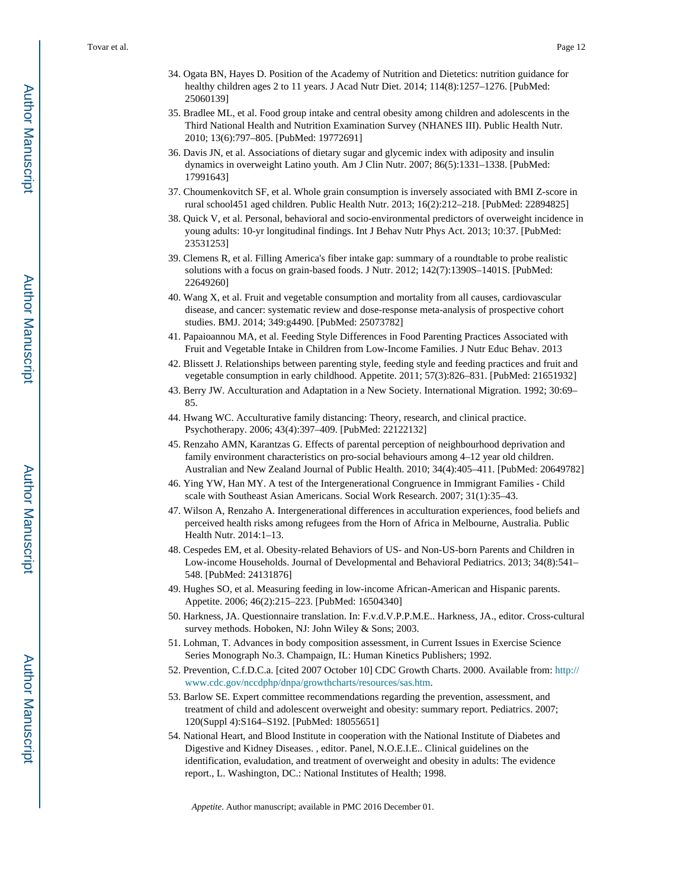- 34. Ogata BN, Hayes D. Position of the Academy of Nutrition and Dietetics: nutrition guidance for healthy children ages 2 to 11 years. J Acad Nutr Diet. 2014; 114(8):1257–1276. [PubMed: 25060139]
- 35. Bradlee ML, et al. Food group intake and central obesity among children and adolescents in the Third National Health and Nutrition Examination Survey (NHANES III). Public Health Nutr. 2010; 13(6):797–805. [PubMed: 19772691]
- 36. Davis JN, et al. Associations of dietary sugar and glycemic index with adiposity and insulin dynamics in overweight Latino youth. Am J Clin Nutr. 2007; 86(5):1331–1338. [PubMed: 17991643]
- 37. Choumenkovitch SF, et al. Whole grain consumption is inversely associated with BMI Z-score in rural school451 aged children. Public Health Nutr. 2013; 16(2):212–218. [PubMed: 22894825]
- 38. Quick V, et al. Personal, behavioral and socio-environmental predictors of overweight incidence in young adults: 10-yr longitudinal findings. Int J Behav Nutr Phys Act. 2013; 10:37. [PubMed: 23531253]
- 39. Clemens R, et al. Filling America's fiber intake gap: summary of a roundtable to probe realistic solutions with a focus on grain-based foods. J Nutr. 2012; 142(7):1390S–1401S. [PubMed: 22649260]
- 40. Wang X, et al. Fruit and vegetable consumption and mortality from all causes, cardiovascular disease, and cancer: systematic review and dose-response meta-analysis of prospective cohort studies. BMJ. 2014; 349:g4490. [PubMed: 25073782]
- 41. Papaioannou MA, et al. Feeding Style Differences in Food Parenting Practices Associated with Fruit and Vegetable Intake in Children from Low-Income Families. J Nutr Educ Behav. 2013
- 42. Blissett J. Relationships between parenting style, feeding style and feeding practices and fruit and vegetable consumption in early childhood. Appetite. 2011; 57(3):826–831. [PubMed: 21651932]
- 43. Berry JW. Acculturation and Adaptation in a New Society. International Migration. 1992; 30:69– 85.
- 44. Hwang WC. Acculturative family distancing: Theory, research, and clinical practice. Psychotherapy. 2006; 43(4):397–409. [PubMed: 22122132]
- 45. Renzaho AMN, Karantzas G. Effects of parental perception of neighbourhood deprivation and family environment characteristics on pro-social behaviours among 4–12 year old children. Australian and New Zealand Journal of Public Health. 2010; 34(4):405–411. [PubMed: 20649782]
- 46. Ying YW, Han MY. A test of the Intergenerational Congruence in Immigrant Families Child scale with Southeast Asian Americans. Social Work Research. 2007; 31(1):35–43.
- 47. Wilson A, Renzaho A. Intergenerational differences in acculturation experiences, food beliefs and perceived health risks among refugees from the Horn of Africa in Melbourne, Australia. Public Health Nutr. 2014:1–13.
- 48. Cespedes EM, et al. Obesity-related Behaviors of US- and Non-US-born Parents and Children in Low-income Households. Journal of Developmental and Behavioral Pediatrics. 2013; 34(8):541– 548. [PubMed: 24131876]
- 49. Hughes SO, et al. Measuring feeding in low-income African-American and Hispanic parents. Appetite. 2006; 46(2):215–223. [PubMed: 16504340]
- 50. Harkness, JA. Questionnaire translation. In: F.v.d.V.P.P.M.E.. Harkness, JA., editor. Cross-cultural survey methods. Hoboken, NJ: John Wiley & Sons; 2003.
- 51. Lohman, T. Advances in body composition assessment, in Current Issues in Exercise Science Series Monograph No.3. Champaign, IL: Human Kinetics Publishers; 1992.
- 52. Prevention, C.f.D.C.a. [cited 2007 October 10] CDC Growth Charts. 2000. Available from: [http://](http://www.cdc.gov/nccdphp/dnpa/growthcharts/resources/sas.htm) [www.cdc.gov/nccdphp/dnpa/growthcharts/resources/sas.htm.](http://www.cdc.gov/nccdphp/dnpa/growthcharts/resources/sas.htm)
- 53. Barlow SE. Expert committee recommendations regarding the prevention, assessment, and treatment of child and adolescent overweight and obesity: summary report. Pediatrics. 2007; 120(Suppl 4):S164–S192. [PubMed: 18055651]
- 54. National Heart, and Blood Institute in cooperation with the National Institute of Diabetes and Digestive and Kidney Diseases. , editor. Panel, N.O.E.I.E.. Clinical guidelines on the identification, evaludation, and treatment of overweight and obesity in adults: The evidence report., L. Washington, DC.: National Institutes of Health; 1998.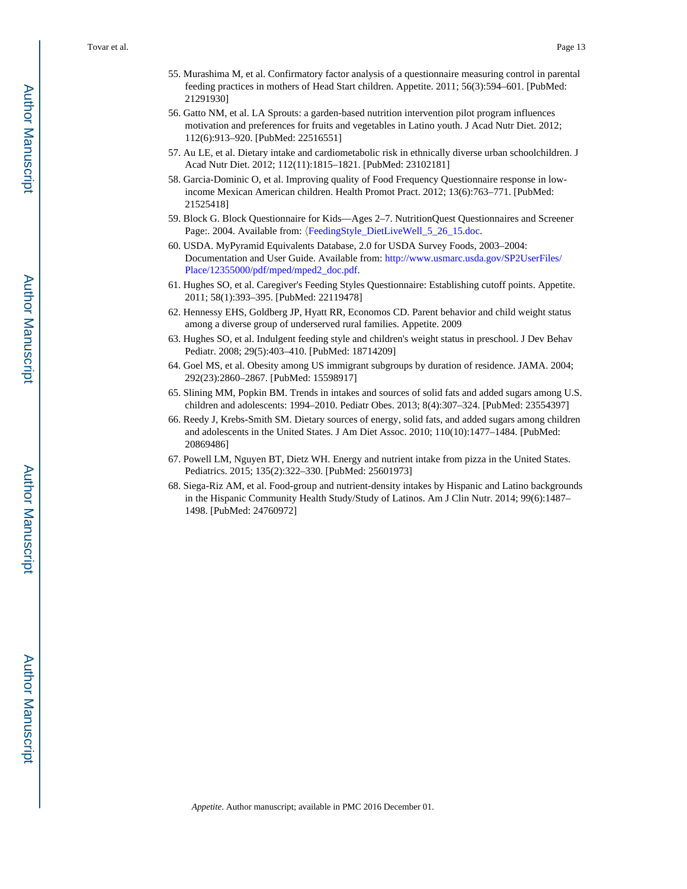- 55. Murashima M, et al. Confirmatory factor analysis of a questionnaire measuring control in parental feeding practices in mothers of Head Start children. Appetite. 2011; 56(3):594–601. [PubMed: 21291930]
- 56. Gatto NM, et al. LA Sprouts: a garden-based nutrition intervention pilot program influences motivation and preferences for fruits and vegetables in Latino youth. J Acad Nutr Diet. 2012; 112(6):913–920. [PubMed: 22516551]
- 57. Au LE, et al. Dietary intake and cardiometabolic risk in ethnically diverse urban schoolchildren. J Acad Nutr Diet. 2012; 112(11):1815–1821. [PubMed: 23102181]
- 58. Garcia-Dominic O, et al. Improving quality of Food Frequency Questionnaire response in lowincome Mexican American children. Health Promot Pract. 2012; 13(6):763–771. [PubMed: 21525418]
- 59. Block G. Block Questionnaire for Kids—Ages 2–7. NutritionQuest Questionnaires and Screener Page:. 2004. Available from: (FeedingStyle\_DietLiveWell\_5\_26\_15.doc.
- 60. USDA. MyPyramid Equivalents Database, 2.0 for USDA Survey Foods, 2003–2004: Documentation and User Guide. Available from: [http://www.usmarc.usda.gov/SP2UserFiles/](http://www.usmarc.usda.gov/SP2UserFiles/Place/12355000/pdf/mped/mped2_doc.pdf) [Place/12355000/pdf/mped/mped2\\_doc.pdf.](http://www.usmarc.usda.gov/SP2UserFiles/Place/12355000/pdf/mped/mped2_doc.pdf)
- 61. Hughes SO, et al. Caregiver's Feeding Styles Questionnaire: Establishing cutoff points. Appetite. 2011; 58(1):393–395. [PubMed: 22119478]
- 62. Hennessy EHS, Goldberg JP, Hyatt RR, Economos CD. Parent behavior and child weight status among a diverse group of underserved rural families. Appetite. 2009
- 63. Hughes SO, et al. Indulgent feeding style and children's weight status in preschool. J Dev Behav Pediatr. 2008; 29(5):403–410. [PubMed: 18714209]
- 64. Goel MS, et al. Obesity among US immigrant subgroups by duration of residence. JAMA. 2004; 292(23):2860–2867. [PubMed: 15598917]
- 65. Slining MM, Popkin BM. Trends in intakes and sources of solid fats and added sugars among U.S. children and adolescents: 1994–2010. Pediatr Obes. 2013; 8(4):307–324. [PubMed: 23554397]
- 66. Reedy J, Krebs-Smith SM. Dietary sources of energy, solid fats, and added sugars among children and adolescents in the United States. J Am Diet Assoc. 2010; 110(10):1477–1484. [PubMed: 20869486]
- 67. Powell LM, Nguyen BT, Dietz WH. Energy and nutrient intake from pizza in the United States. Pediatrics. 2015; 135(2):322–330. [PubMed: 25601973]
- 68. Siega-Riz AM, et al. Food-group and nutrient-density intakes by Hispanic and Latino backgrounds in the Hispanic Community Health Study/Study of Latinos. Am J Clin Nutr. 2014; 99(6):1487– 1498. [PubMed: 24760972]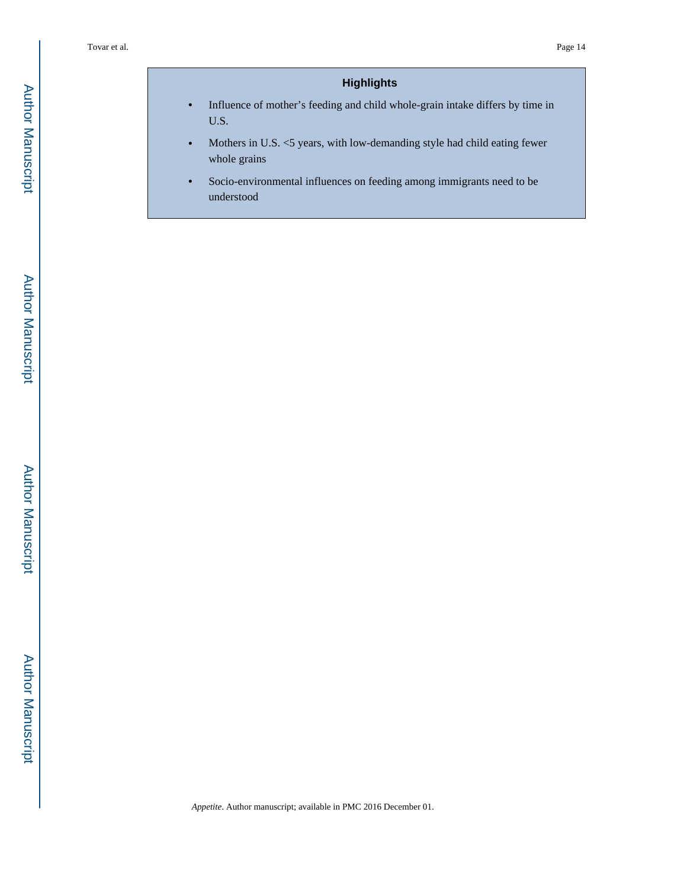## **Highlights**

- **•** Influence of mother's feeding and child whole-grain intake differs by time in U.S.
- **•** Mothers in U.S. <5 years, with low-demanding style had child eating fewer whole grains
- **•** Socio-environmental influences on feeding among immigrants need to be understood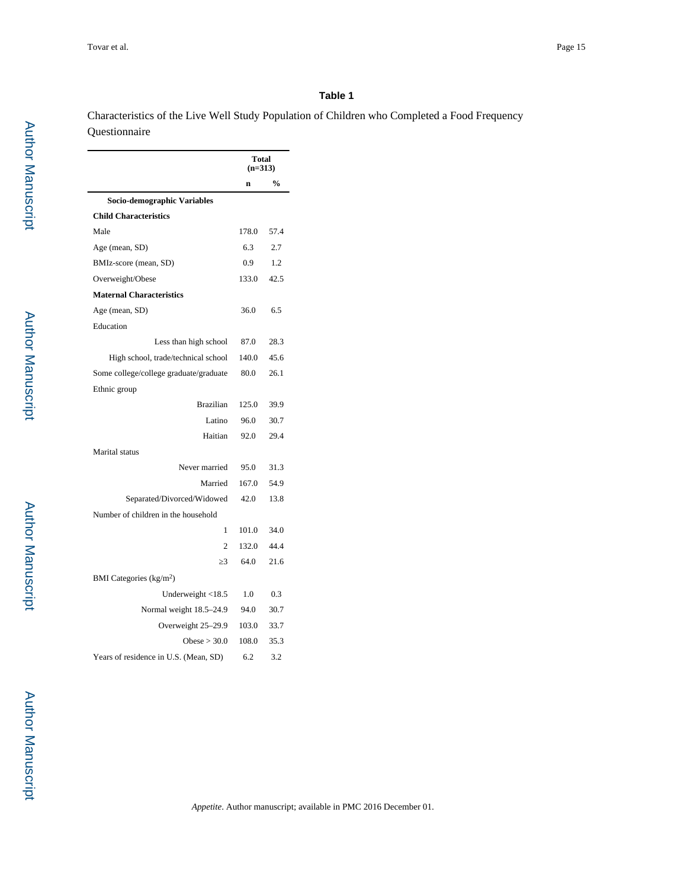#### **Table 1**

Characteristics of the Live Well Study Population of Children who Completed a Food Frequency Questionnaire

|                                        | <b>Total</b><br>$(n=313)$ |               |
|----------------------------------------|---------------------------|---------------|
|                                        | $\mathbf n$               | $\frac{0}{0}$ |
| Socio-demographic Variables            |                           |               |
| <b>Child Characteristics</b>           |                           |               |
| Male                                   | 178.0                     | 57.4          |
| Age (mean, SD)                         | 6.3                       | 2.7           |
| BMIz-score (mean, SD)                  | 0.9                       | 1.2           |
| Overweight/Obese                       | 133.0                     | 42.5          |
| <b>Maternal Characteristics</b>        |                           |               |
| Age (mean, SD)                         | 36.0                      | 6.5           |
| Education                              |                           |               |
| Less than high school                  | 87.0                      | 28.3          |
| High school, trade/technical school    | 140.0                     | 45.6          |
| Some college/college graduate/graduate | 80.0                      | 26.1          |
| Ethnic group                           |                           |               |
| <b>Brazilian</b>                       | 125.0                     | 39.9          |
| Latino                                 | 96.0                      | 30.7          |
| Haitian                                | 92.0                      | 29.4          |
| Marital status                         |                           |               |
| Never married                          | 95.0                      | 31.3          |
| Married                                | 167.0                     | 54.9          |
| Separated/Divorced/Widowed             | 42.0                      | 13.8          |
| Number of children in the household    |                           |               |
| 1                                      | 101.0                     | 34.0          |
| $\overline{2}$                         | 132.0                     | 44.4          |
| 3                                      | 64.0                      | 21.6          |
| BMI Categories $(kg/m2)$               |                           |               |
| Underweight $<$ 18.5                   | 1.0                       | 0.3           |
| Normal weight 18.5-24.9                | 94.0                      | 30.7          |
| Overweight 25-29.9                     | 103.0                     | 33.7          |
| Obese $>$ 30.0                         | 108.0                     | 35.3          |
| Years of residence in U.S. (Mean, SD)  | 6.2                       | 3.2           |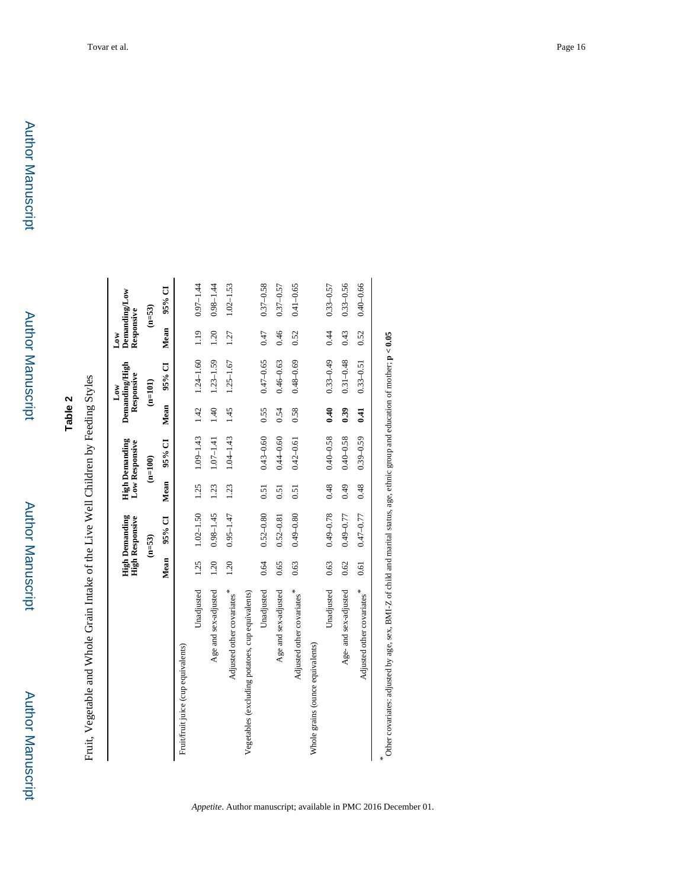Fruit, Vegetable and Whole Grain Intake of the Live Well Children by Feeding Styles Fruit, Vegetable and Whole Grain Intake of the Live Well Children by Feeding Styles

|                                                                                                                                  |      | <b>High Demanding</b><br><b>High Responsive</b> |      | <b>High Demanding</b><br>Low Responsive |      | Demanding/High<br>Responsive<br>$_{\rm Low}$ | Responsive<br>Low | Demanding/Low |
|----------------------------------------------------------------------------------------------------------------------------------|------|-------------------------------------------------|------|-----------------------------------------|------|----------------------------------------------|-------------------|---------------|
|                                                                                                                                  |      | $(n=53)$                                        |      | $(n=100)$                               |      | $(n=101)$                                    |                   | $(n=53)$      |
|                                                                                                                                  | Mean | 95% CI                                          | Mean | $95%$ CI                                | Mean | 95% CI                                       | Mean              | $95%$ CI      |
| Fruit/fruit juice (cup equivalents)                                                                                              |      |                                                 |      |                                         |      |                                              |                   |               |
| Unadjusted                                                                                                                       | 1.25 | $1.02 - 1.50$                                   |      | $1.25$ $1.09-1.43$ $1.42$               |      | $1.24 - 1.60$                                | 1.19              | $0.97 - 1.44$ |
| Age and sex-adjusted                                                                                                             | 1.20 | $0.98 - 1.45$                                   | 1.23 | $1.07 - 1.41$                           | 1.40 | $1.23 - 1.59$                                | 1.20              | $0.98 - 1.44$ |
| Adjusted other covariates*                                                                                                       | 1.20 | $0.95 - 1.47$                                   | 1.23 | $1.04 - 1.43$                           | 1.45 | $1.25 - 1.67$                                | 1.27              | $1.02 - 1.53$ |
| Vegetables (excluding potatoes, cup equivalents)                                                                                 |      |                                                 |      |                                         |      |                                              |                   |               |
| Unadjusted                                                                                                                       | 0.64 | $0.52 - 0.80$                                   | 0.51 | $0.43 - 0.60$                           | 0.55 | $0.47 - 0.65$                                | 0.47              | $0.37 - 0.58$ |
| Age and sex-adjusted                                                                                                             | 0.65 | $0.52 - 0.81$                                   | 0.51 | $0.44 - 0.60$                           | 0.54 | $0.46 - 0.63$                                | 0.46              | $0.37 - 0.57$ |
| Adjusted other covariates*                                                                                                       | 0.63 | $0.49 - 0.80$                                   | 0.51 | $0.42 - 0.61$                           | 0.58 | $0.48 - 0.69$                                | 0.52              | $0.41 - 0.65$ |
| Whole grains (ounce equivalents)                                                                                                 |      |                                                 |      |                                         |      |                                              |                   |               |
| Unadjusted                                                                                                                       | 0.63 | $0.49 - 0.78$                                   | 0.48 | $0.40 - 0.58$                           | 0.40 | $0.33 - 0.49$                                | 0.44              | $0.33 - 0.57$ |
| Age- and sex-adjusted                                                                                                            | 0.62 | 0.49-0.77                                       | 0.49 | $0.40 - 0.58$                           | 0.39 | $0.31 - 0.48$                                | 0.43              | $0.33 - 0.56$ |
| Adjusted other covariates*                                                                                                       | 0.61 | $0.47 - 0.77$                                   | 0.48 | $0.39 - 0.59$                           | 0.41 | $0.33 - 0.51$                                | 0.52              | $0.40 - 0.66$ |
| Other covariates: adjusted by age, sex. BMI-Z of child and marital status, age, ethnic groun and education of mother: $p < 0.05$ |      |                                                 |      |                                         |      |                                              |                   |               |

*Appetite*. Author manuscript; available in PMC 2016 December 01.

Other covariates: adjusted by age, sex, BMI-Z of child and marital status, age, ethnic group and education of mother; **p < 0.05**